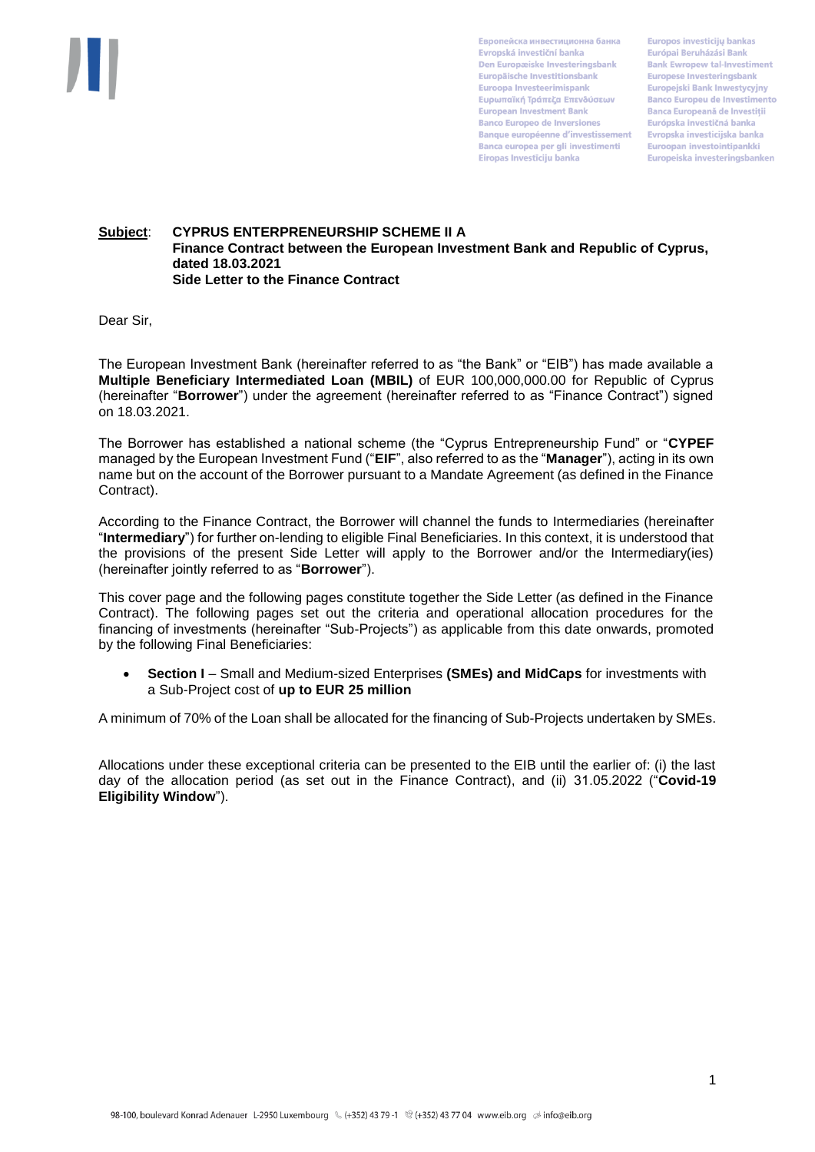

Европейска инвестиционна банка Evropská investiční banka Den Europæiske Investeringsbank Europäische Investitionsbank Euroopa Investeerimispank Ευρωπαϊκή Τράπεζα Επενδύσεων **European Investment Bank Banco Europeo de Inversiones Banque européenne d'investissement** Banca europea per gli investimenti Eiropas Investīciju banka

**Europos investiciju bankas** Európai Beruházási Bank **Bank Ewropew tal-Investiment** Europese Investeringsbank Europejski Bank Inwestycyjny **Banco Europeu de Investimento Banca Europeană de Investitii** Európska investičná banka Evropska investicijska banka Euroopan investointipankki Europeiska investeringsbanken

## **Subject**: **CYPRUS ENTERPRENEURSHIP SCHEME II A Finance Contract between the European Investment Bank and Republic of Cyprus, dated 18.03.2021 Side Letter to the Finance Contract**

Dear Sir,

The European Investment Bank (hereinafter referred to as "the Bank" or "EIB") has made available a **Multiple Beneficiary Intermediated Loan (MBIL)** of EUR 100,000,000.00 for Republic of Cyprus (hereinafter "**Borrower**") under the agreement (hereinafter referred to as "Finance Contract") signed on 18.03.2021.

The Borrower has established a national scheme (the "Cyprus Entrepreneurship Fund" or "**CYPEF** managed by the European Investment Fund ("**EIF**", also referred to as the "**Manager**"), acting in its own name but on the account of the Borrower pursuant to a Mandate Agreement (as defined in the Finance Contract).

According to the Finance Contract, the Borrower will channel the funds to Intermediaries (hereinafter "**Intermediary**") for further on-lending to eligible Final Beneficiaries. In this context, it is understood that the provisions of the present Side Letter will apply to the Borrower and/or the Intermediary(ies) (hereinafter jointly referred to as "**Borrower**").

This cover page and the following pages constitute together the Side Letter (as defined in the Finance Contract). The following pages set out the criteria and operational allocation procedures for the financing of investments (hereinafter "Sub-Projects") as applicable from this date onwards, promoted by the following Final Beneficiaries:

 **Section I** – Small and Medium-sized Enterprises **(SMEs) and MidCaps** for investments with a Sub-Project cost of **up to EUR 25 million**

A minimum of 70% of the Loan shall be allocated for the financing of Sub-Projects undertaken by SMEs.

Allocations under these exceptional criteria can be presented to the EIB until the earlier of: (i) the last day of the allocation period (as set out in the Finance Contract), and (ii) 31.05.2022 ("**Covid-19 Eligibility Window**").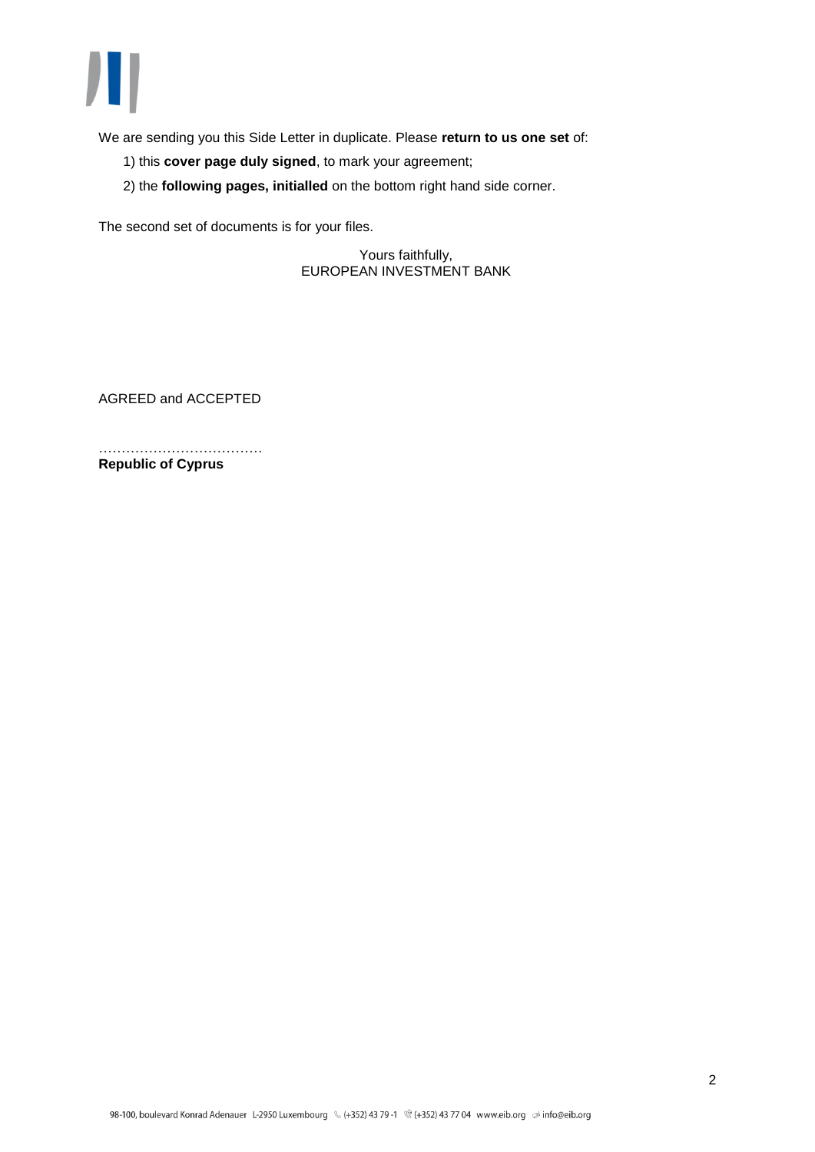

We are sending you this Side Letter in duplicate. Please **return to us one set** of:

- 1) this **cover page duly signed**, to mark your agreement;
- 2) the **following pages, initialled** on the bottom right hand side corner.

The second set of documents is for your files.

Yours faithfully, EUROPEAN INVESTMENT BANK

AGREED and ACCEPTED

……………………………………… **Republic of Cyprus**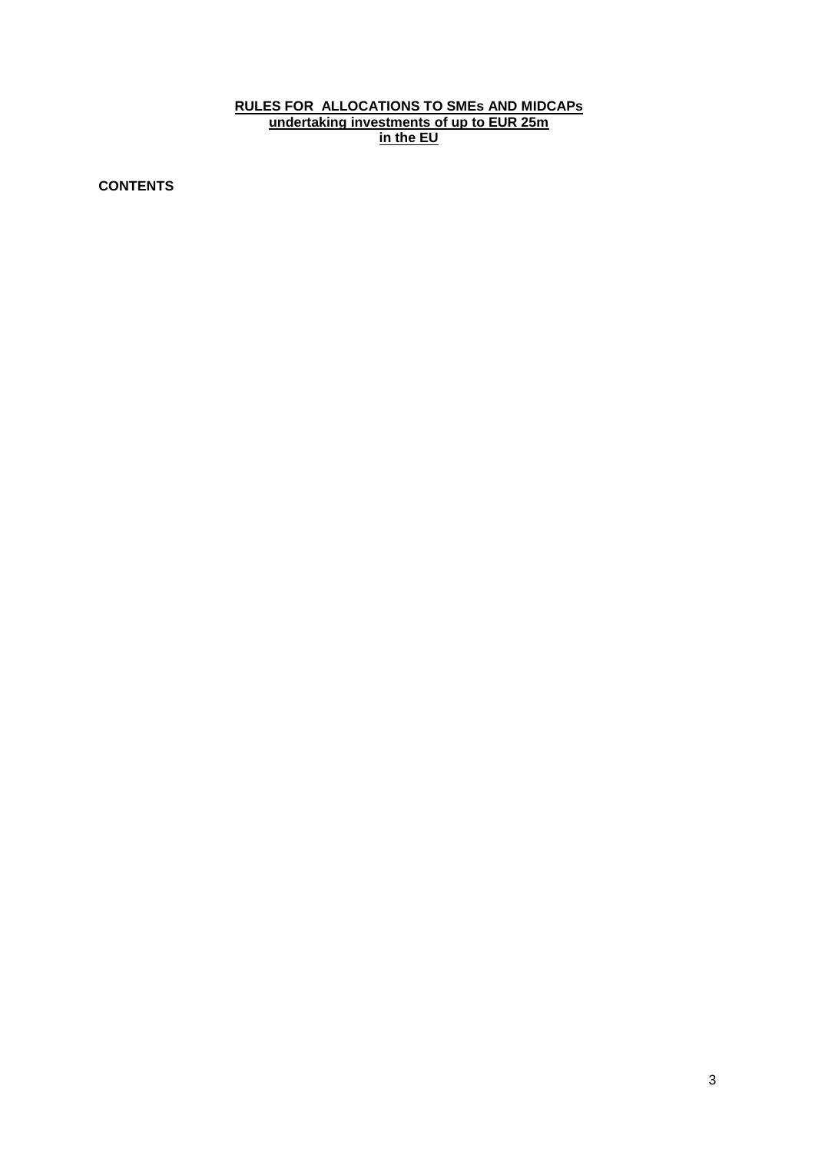# **RULES FOR ALLOCATIONS TO SMEs AND MIDCAPs undertaking investments of up to EUR 25m in the EU**

**CONTENTS**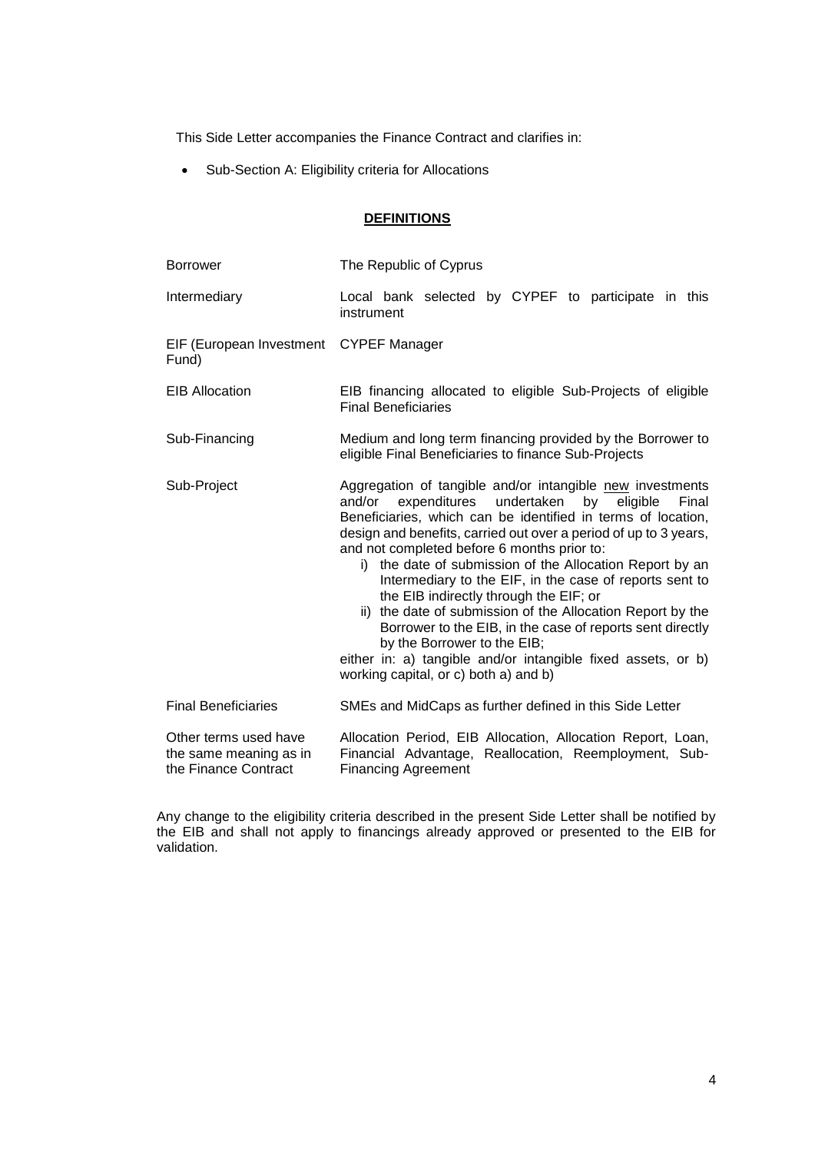This Side Letter accompanies the Finance Contract and clarifies in:

Sub-Section A: Eligibility criteria for Allocations

## **DEFINITIONS**

| <b>Borrower</b>                                                         | The Republic of Cyprus                                                                                                                                                                                                                                                                                                                                                                                                                                                                                                                                                                                                                                                                                                                              |
|-------------------------------------------------------------------------|-----------------------------------------------------------------------------------------------------------------------------------------------------------------------------------------------------------------------------------------------------------------------------------------------------------------------------------------------------------------------------------------------------------------------------------------------------------------------------------------------------------------------------------------------------------------------------------------------------------------------------------------------------------------------------------------------------------------------------------------------------|
| Intermediary                                                            | Local bank selected by CYPEF to participate in this<br>instrument                                                                                                                                                                                                                                                                                                                                                                                                                                                                                                                                                                                                                                                                                   |
| EIF (European Investment<br>Fund)                                       | <b>CYPEF Manager</b>                                                                                                                                                                                                                                                                                                                                                                                                                                                                                                                                                                                                                                                                                                                                |
| <b>EIB Allocation</b>                                                   | EIB financing allocated to eligible Sub-Projects of eligible<br><b>Final Beneficiaries</b>                                                                                                                                                                                                                                                                                                                                                                                                                                                                                                                                                                                                                                                          |
| Sub-Financing                                                           | Medium and long term financing provided by the Borrower to<br>eligible Final Beneficiaries to finance Sub-Projects                                                                                                                                                                                                                                                                                                                                                                                                                                                                                                                                                                                                                                  |
| Sub-Project                                                             | Aggregation of tangible and/or intangible new investments<br>undertaken<br>and/or<br>expenditures<br>by<br>eligible<br>Final<br>Beneficiaries, which can be identified in terms of location,<br>design and benefits, carried out over a period of up to 3 years,<br>and not completed before 6 months prior to:<br>i) the date of submission of the Allocation Report by an<br>Intermediary to the EIF, in the case of reports sent to<br>the EIB indirectly through the EIF; or<br>ii) the date of submission of the Allocation Report by the<br>Borrower to the EIB, in the case of reports sent directly<br>by the Borrower to the EIB;<br>either in: a) tangible and/or intangible fixed assets, or b)<br>working capital, or c) both a) and b) |
| <b>Final Beneficiaries</b>                                              | SMEs and MidCaps as further defined in this Side Letter                                                                                                                                                                                                                                                                                                                                                                                                                                                                                                                                                                                                                                                                                             |
| Other terms used have<br>the same meaning as in<br>the Finance Contract | Allocation Period, EIB Allocation, Allocation Report, Loan,<br>Financial Advantage, Reallocation, Reemployment, Sub-<br><b>Financing Agreement</b>                                                                                                                                                                                                                                                                                                                                                                                                                                                                                                                                                                                                  |

Any change to the eligibility criteria described in the present Side Letter shall be notified by the EIB and shall not apply to financings already approved or presented to the EIB for validation.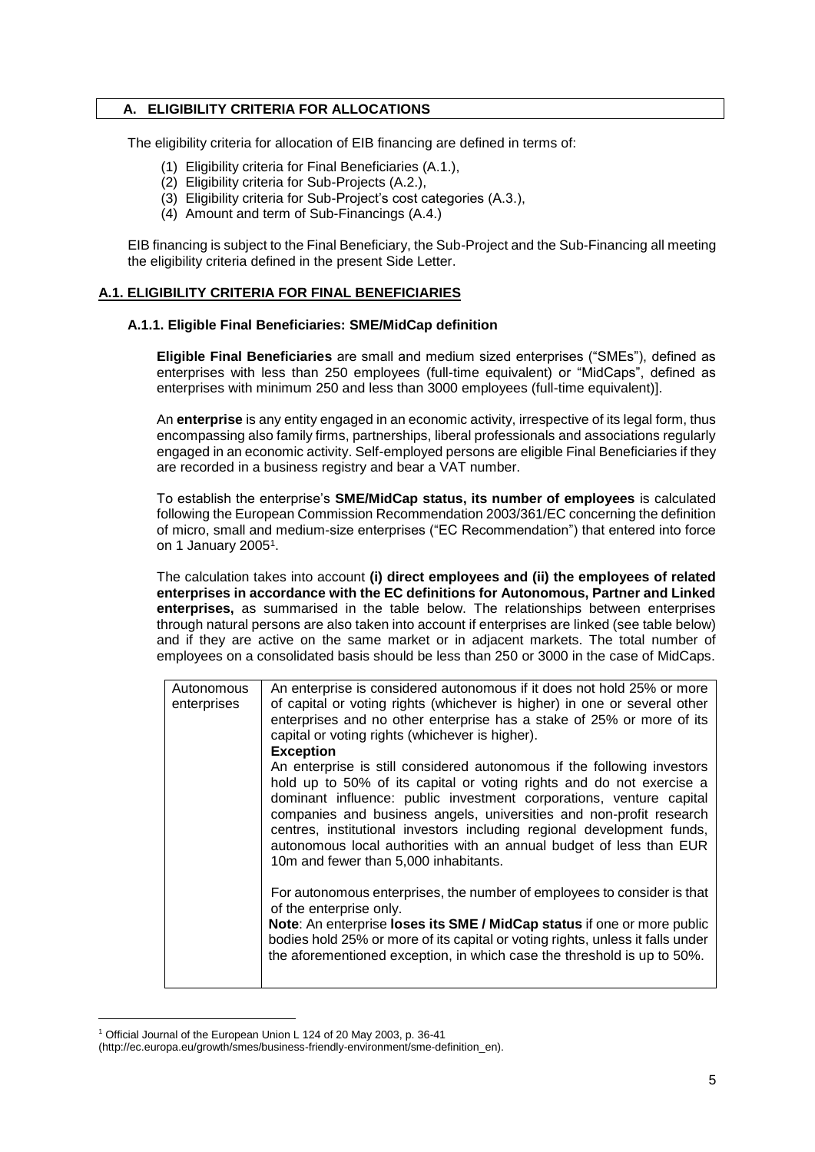### **A. ELIGIBILITY CRITERIA FOR ALLOCATIONS**

The eligibility criteria for allocation of EIB financing are defined in terms of:

- (1) Eligibility criteria for Final Beneficiaries (A.1.),
- (2) Eligibility criteria for Sub-Projects (A.2.),
- (3) Eligibility criteria for Sub-Project's cost categories (A.3.),
- (4) Amount and term of Sub-Financings (A.4.)

EIB financing is subject to the Final Beneficiary, the Sub-Project and the Sub-Financing all meeting the eligibility criteria defined in the present Side Letter.

## **A.1. ELIGIBILITY CRITERIA FOR FINAL BENEFICIARIES**

### **A.1.1. Eligible Final Beneficiaries: SME/MidCap definition**

**Eligible Final Beneficiaries** are small and medium sized enterprises ("SMEs"), defined as enterprises with less than 250 employees (full-time equivalent) or "MidCaps", defined as enterprises with minimum 250 and less than 3000 employees (full-time equivalent)].

An **enterprise** is any entity engaged in an economic activity, irrespective of its legal form, thus encompassing also family firms, partnerships, liberal professionals and associations regularly engaged in an economic activity. Self-employed persons are eligible Final Beneficiaries if they are recorded in a business registry and bear a VAT number.

To establish the enterprise's **SME/MidCap status, its number of employees** is calculated following the European Commission Recommendation 2003/361/EC concerning the definition of micro, small and medium-size enterprises ("EC Recommendation") that entered into force on 1 January 2005<sup>1</sup>.

The calculation takes into account **(i) direct employees and (ii) the employees of related enterprises in accordance with the EC definitions for Autonomous, Partner and Linked enterprises,** as summarised in the table below. The relationships between enterprises through natural persons are also taken into account if enterprises are linked (see table below) and if they are active on the same market or in adjacent markets. The total number of employees on a consolidated basis should be less than 250 or 3000 in the case of MidCaps.

| Autonomous<br>enterprises | An enterprise is considered autonomous if it does not hold 25% or more<br>of capital or voting rights (whichever is higher) in one or several other<br>enterprises and no other enterprise has a stake of 25% or more of its<br>capital or voting rights (whichever is higher).<br><b>Exception</b>                                                                                                                                                                                     |
|---------------------------|-----------------------------------------------------------------------------------------------------------------------------------------------------------------------------------------------------------------------------------------------------------------------------------------------------------------------------------------------------------------------------------------------------------------------------------------------------------------------------------------|
|                           | An enterprise is still considered autonomous if the following investors<br>hold up to 50% of its capital or voting rights and do not exercise a<br>dominant influence: public investment corporations, venture capital<br>companies and business angels, universities and non-profit research<br>centres, institutional investors including regional development funds,<br>autonomous local authorities with an annual budget of less than EUR<br>10m and fewer than 5,000 inhabitants. |
|                           | For autonomous enterprises, the number of employees to consider is that<br>of the enterprise only.<br>Note: An enterprise loses its SME / MidCap status if one or more public<br>bodies hold 25% or more of its capital or voting rights, unless it falls under<br>the aforementioned exception, in which case the threshold is up to 50%.                                                                                                                                              |

<sup>1</sup> Official Journal of the European Union L 124 of 20 May 2003, p. 36-41

-

<sup>(</sup>http://ec.europa.eu/growth/smes/business-friendly-environment/sme-definition\_en).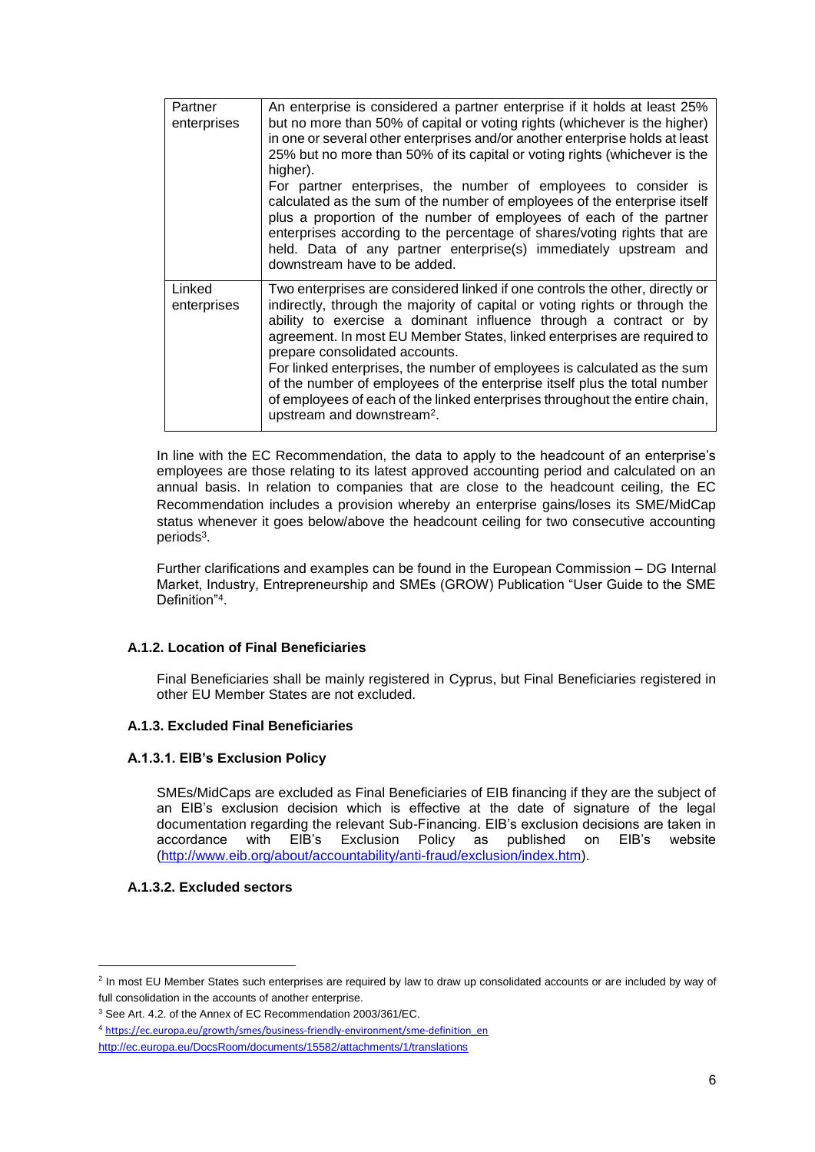| Partner<br>enterprises | An enterprise is considered a partner enterprise if it holds at least 25%<br>but no more than 50% of capital or voting rights (whichever is the higher)<br>in one or several other enterprises and/or another enterprise holds at least<br>25% but no more than 50% of its capital or voting rights (whichever is the<br>higher).                                                                                                                                                                                                                                                                                               |
|------------------------|---------------------------------------------------------------------------------------------------------------------------------------------------------------------------------------------------------------------------------------------------------------------------------------------------------------------------------------------------------------------------------------------------------------------------------------------------------------------------------------------------------------------------------------------------------------------------------------------------------------------------------|
|                        | For partner enterprises, the number of employees to consider is<br>calculated as the sum of the number of employees of the enterprise itself<br>plus a proportion of the number of employees of each of the partner<br>enterprises according to the percentage of shares/voting rights that are<br>held. Data of any partner enterprise(s) immediately upstream and<br>downstream have to be added.                                                                                                                                                                                                                             |
| Linked<br>enterprises  | Two enterprises are considered linked if one controls the other, directly or<br>indirectly, through the majority of capital or voting rights or through the<br>ability to exercise a dominant influence through a contract or by<br>agreement. In most EU Member States, linked enterprises are required to<br>prepare consolidated accounts.<br>For linked enterprises, the number of employees is calculated as the sum<br>of the number of employees of the enterprise itself plus the total number<br>of employees of each of the linked enterprises throughout the entire chain,<br>upstream and downstream <sup>2</sup> . |

In line with the EC Recommendation, the data to apply to the headcount of an enterprise's employees are those relating to its latest approved accounting period and calculated on an annual basis. In relation to companies that are close to the headcount ceiling, the EC Recommendation includes a provision whereby an enterprise gains/loses its SME/MidCap status whenever it goes below/above the headcount ceiling for two consecutive accounting periods<sup>3</sup>.

Further clarifications and examples can be found in the European Commission – DG Internal Market, Industry, Entrepreneurship and SMEs (GROW) Publication "User Guide to the SME Definition"<sup>4</sup> .

## **A.1.2. Location of Final Beneficiaries**

Final Beneficiaries shall be mainly registered in Cyprus, but Final Beneficiaries registered in other EU Member States are not excluded.

### **A.1.3. Excluded Final Beneficiaries**

### **A.1.3.1. EIB's Exclusion Policy**

SMEs/MidCaps are excluded as Final Beneficiaries of EIB financing if they are the subject of an EIB's exclusion decision which is effective at the date of signature of the legal documentation regarding the relevant Sub-Financing. EIB's exclusion decisions are taken in<br>accordance with EIB's Exclusion Policy as published on EIB's website Exclusion Policy as published on EIB's website [\(http://www.eib.org/about/accountability/anti-fraud/exclusion/index.htm\)](http://www.eib.org/about/accountability/anti-fraud/exclusion/index.htm).

### **A.1.3.2. Excluded sectors**

1

<sup>&</sup>lt;sup>2</sup> In most EU Member States such enterprises are required by law to draw up consolidated accounts or are included by way of full consolidation in the accounts of another enterprise.

<sup>&</sup>lt;sup>3</sup> See Art. 4.2. of the Annex of EC Recommendation 2003/361/EC.

<sup>4</sup> [https://ec.europa.eu/growth/smes/business-friendly-environment/sme-definition\\_en](https://ec.europa.eu/growth/smes/business-friendly-environment/sme-definition_en)

<http://ec.europa.eu/DocsRoom/documents/15582/attachments/1/translations>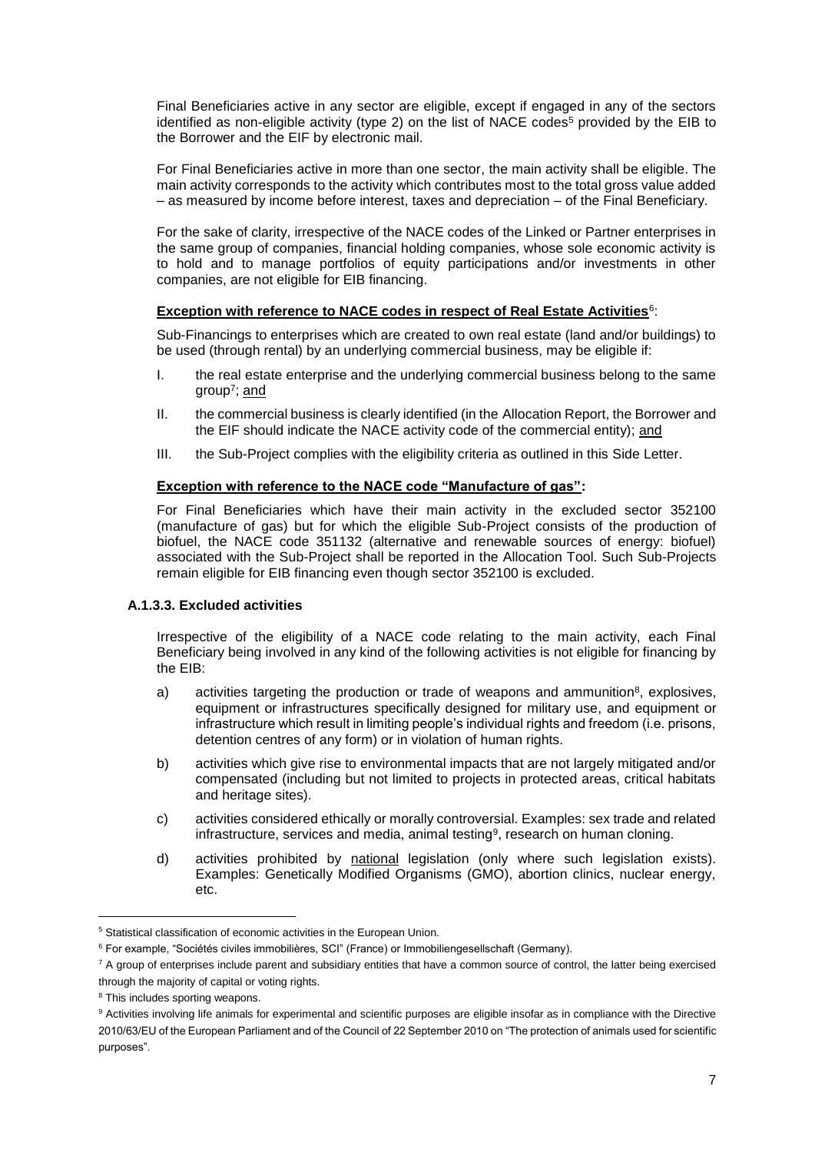Final Beneficiaries active in any sector are eligible, except if engaged in any of the sectors identified as non-eligible activity (type 2) on the list of NACE codes<sup>5</sup> provided by the EIB to the Borrower and the EIF by electronic mail.

For Final Beneficiaries active in more than one sector, the main activity shall be eligible. The main activity corresponds to the activity which contributes most to the total gross value added – as measured by income before interest, taxes and depreciation – of the Final Beneficiary.

For the sake of clarity, irrespective of the NACE codes of the Linked or Partner enterprises in the same group of companies, financial holding companies, whose sole economic activity is to hold and to manage portfolios of equity participations and/or investments in other companies, are not eligible for EIB financing.

## **Exception with reference to NACE codes in respect of Real Estate Activities**<sup>6</sup> :

Sub-Financings to enterprises which are created to own real estate (land and/or buildings) to be used (through rental) by an underlying commercial business, may be eligible if:

- I. the real estate enterprise and the underlying commercial business belong to the same group<sup>7</sup>; and
- II. the commercial business is clearly identified (in the Allocation Report, the Borrower and the EIF should indicate the NACE activity code of the commercial entity); and
- III. the Sub-Project complies with the eligibility criteria as outlined in this Side Letter.

## **Exception with reference to the NACE code "Manufacture of gas":**

For Final Beneficiaries which have their main activity in the excluded sector 352100 (manufacture of gas) but for which the eligible Sub-Project consists of the production of biofuel, the NACE code 351132 (alternative and renewable sources of energy: biofuel) associated with the Sub-Project shall be reported in the Allocation Tool. Such Sub-Projects remain eligible for EIB financing even though sector 352100 is excluded.

### **A.1.3.3. Excluded activities**

Irrespective of the eligibility of a NACE code relating to the main activity, each Final Beneficiary being involved in any kind of the following activities is not eligible for financing by the EIB:

- a) activities targeting the production or trade of weapons and ammunition<sup>8</sup>, explosives, equipment or infrastructures specifically designed for military use, and equipment or infrastructure which result in limiting people's individual rights and freedom (i.e. prisons, detention centres of any form) or in violation of human rights.
- b) activities which give rise to environmental impacts that are not largely mitigated and/or compensated (including but not limited to projects in protected areas, critical habitats and heritage sites).
- c) activities considered ethically or morally controversial. Examples: sex trade and related infrastructure, services and media, animal testing<sup>9</sup>, research on human cloning.
- d) activities prohibited by national legislation (only where such legislation exists). Examples: Genetically Modified Organisms (GMO), abortion clinics, nuclear energy, etc.

1

<sup>&</sup>lt;sup>5</sup> Statistical classification of economic activities in the European Union.

<sup>&</sup>lt;sup>6</sup> For example, "Sociétés civiles immobilières, SCI" (France) or Immobiliengesellschaft (Germany).

<sup>&</sup>lt;sup>7</sup> A group of enterprises include parent and subsidiary entities that have a common source of control, the latter being exercised through the majority of capital or voting rights.

<sup>&</sup>lt;sup>8</sup> This includes sporting weapons.

<sup>&</sup>lt;sup>9</sup> Activities involving life animals for experimental and scientific purposes are eligible insofar as in compliance with the Directive 2010/63/EU of the European Parliament and of the Council of 22 September 2010 on "The protection of animals used for scientific purposes".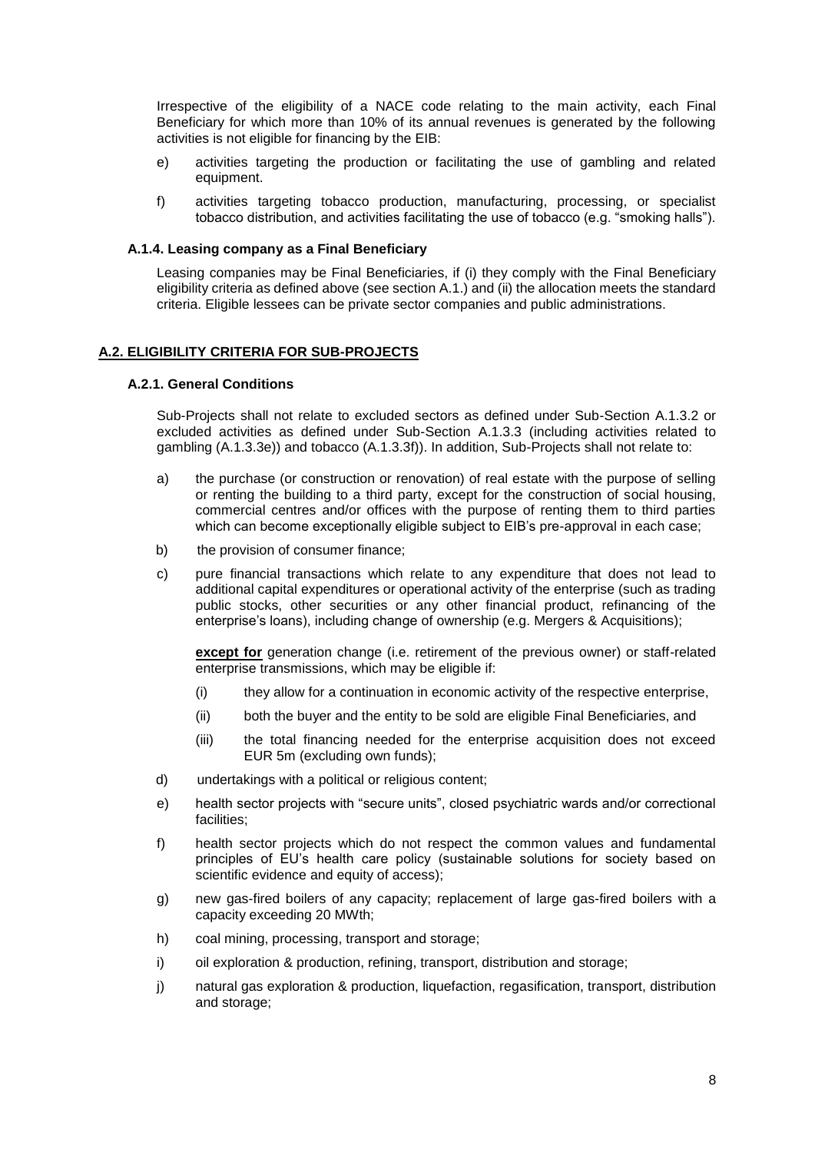Irrespective of the eligibility of a NACE code relating to the main activity, each Final Beneficiary for which more than 10% of its annual revenues is generated by the following activities is not eligible for financing by the EIB:

- e) activities targeting the production or facilitating the use of gambling and related equipment.
- f) activities targeting tobacco production, manufacturing, processing, or specialist tobacco distribution, and activities facilitating the use of tobacco (e.g. "smoking halls").

### **A.1.4. Leasing company as a Final Beneficiary**

Leasing companies may be Final Beneficiaries, if (i) they comply with the Final Beneficiary eligibility criteria as defined above (see section A.1.) and (ii) the allocation meets the standard criteria. Eligible lessees can be private sector companies and public administrations.

### **A.2. ELIGIBILITY CRITERIA FOR SUB-PROJECTS**

### **A.2.1. General Conditions**

Sub-Projects shall not relate to excluded sectors as defined under Sub-Section A.1.3.2 or excluded activities as defined under Sub-Section A.1.3.3 (including activities related to gambling (A.1.3.3e)) and tobacco (A.1.3.3f)). In addition, Sub-Projects shall not relate to:

- a) the purchase (or construction or renovation) of real estate with the purpose of selling or renting the building to a third party, except for the construction of social housing, commercial centres and/or offices with the purpose of renting them to third parties which can become exceptionally eligible subject to EIB's pre-approval in each case;
- b) the provision of consumer finance;
- c) pure financial transactions which relate to any expenditure that does not lead to additional capital expenditures or operational activity of the enterprise (such as trading public stocks, other securities or any other financial product, refinancing of the enterprise's loans), including change of ownership (e.g. Mergers & Acquisitions);

**except for** generation change (i.e. retirement of the previous owner) or staff-related enterprise transmissions, which may be eligible if:

- (i) they allow for a continuation in economic activity of the respective enterprise,
- (ii) both the buyer and the entity to be sold are eligible Final Beneficiaries, and
- (iii) the total financing needed for the enterprise acquisition does not exceed EUR 5m (excluding own funds);
- d) undertakings with a political or religious content;
- e) health sector projects with "secure units", closed psychiatric wards and/or correctional facilities;
- f) health sector projects which do not respect the common values and fundamental principles of EU's health care policy (sustainable solutions for society based on scientific evidence and equity of access);
- g) new gas-fired boilers of any capacity; replacement of large gas-fired boilers with a capacity exceeding 20 MWth;
- h) coal mining, processing, transport and storage;
- i) oil exploration & production, refining, transport, distribution and storage;
- j) natural gas exploration & production, liquefaction, regasification, transport, distribution and storage;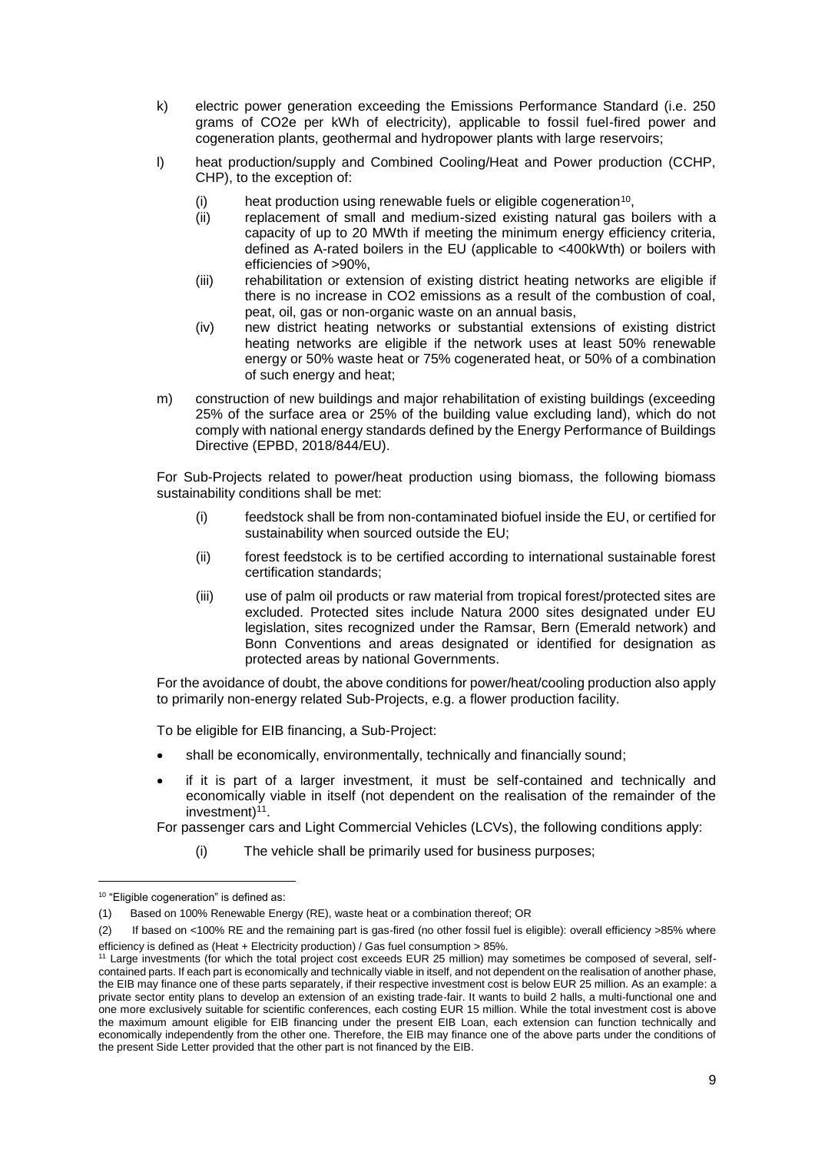- k) electric power generation exceeding the Emissions Performance Standard (i.e. 250 grams of CO2e per kWh of electricity), applicable to fossil fuel-fired power and cogeneration plants, geothermal and hydropower plants with large reservoirs;
- l) heat production/supply and Combined Cooling/Heat and Power production (CCHP, CHP), to the exception of:
	- $(i)$  heat production using renewable fuels or eligible cogeneration<sup>10</sup>,
	- (ii) replacement of small and medium-sized existing natural gas boilers with a capacity of up to 20 MWth if meeting the minimum energy efficiency criteria, defined as A-rated boilers in the EU (applicable to <400kWth) or boilers with efficiencies of >90%,
	- (iii) rehabilitation or extension of existing district heating networks are eligible if there is no increase in CO2 emissions as a result of the combustion of coal, peat, oil, gas or non-organic waste on an annual basis,
	- (iv) new district heating networks or substantial extensions of existing district heating networks are eligible if the network uses at least 50% renewable energy or 50% waste heat or 75% cogenerated heat, or 50% of a combination of such energy and heat;
- m) construction of new buildings and major rehabilitation of existing buildings (exceeding 25% of the surface area or 25% of the building value excluding land), which do not comply with national energy standards defined by the Energy Performance of Buildings Directive (EPBD, 2018/844/EU).

For Sub-Projects related to power/heat production using biomass, the following biomass sustainability conditions shall be met:

- (i) feedstock shall be from non-contaminated biofuel inside the EU, or certified for sustainability when sourced outside the EU;
- (ii) forest feedstock is to be certified according to international sustainable forest certification standards;
- (iii) use of palm oil products or raw material from tropical forest/protected sites are excluded. Protected sites include Natura 2000 sites designated under EU legislation, sites recognized under the Ramsar, Bern (Emerald network) and Bonn Conventions and areas designated or identified for designation as protected areas by national Governments.

For the avoidance of doubt, the above conditions for power/heat/cooling production also apply to primarily non-energy related Sub-Projects, e.g. a flower production facility.

To be eligible for EIB financing, a Sub-Project:

- shall be economically, environmentally, technically and financially sound;
- if it is part of a larger investment, it must be self-contained and technically and economically viable in itself (not dependent on the realisation of the remainder of the investment)<sup>11</sup>.

For passenger cars and Light Commercial Vehicles (LCVs), the following conditions apply:

(i) The vehicle shall be primarily used for business purposes;

1

<sup>10 &</sup>quot;Eligible cogeneration" is defined as:

<sup>(1)</sup> Based on 100% Renewable Energy (RE), waste heat or a combination thereof; OR

<sup>(2)</sup> If based on <100% RE and the remaining part is gas-fired (no other fossil fuel is eligible): overall efficiency >85% where efficiency is defined as (Heat + Electricity production) / Gas fuel consumption > 85%.

<sup>&</sup>lt;sup>11</sup> Large investments (for which the total project cost exceeds EUR 25 million) may sometimes be composed of several, selfcontained parts. If each part is economically and technically viable in itself, and not dependent on the realisation of another phase, the EIB may finance one of these parts separately, if their respective investment cost is below EUR 25 million. As an example: a private sector entity plans to develop an extension of an existing trade-fair. It wants to build 2 halls, a multi-functional one and one more exclusively suitable for scientific conferences, each costing EUR 15 million. While the total investment cost is above the maximum amount eligible for EIB financing under the present EIB Loan, each extension can function technically and economically independently from the other one. Therefore, the EIB may finance one of the above parts under the conditions of the present Side Letter provided that the other part is not financed by the EIB.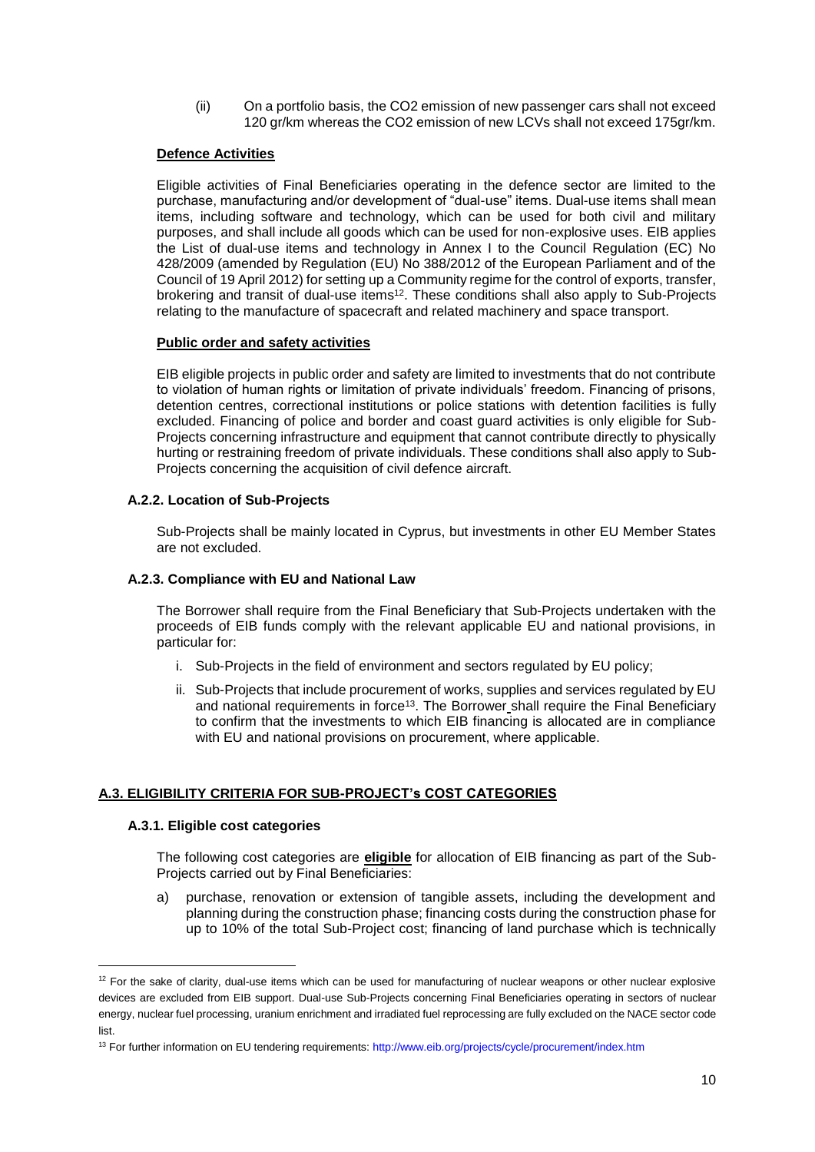(ii) On a portfolio basis, the CO2 emission of new passenger cars shall not exceed 120 gr/km whereas the CO2 emission of new LCVs shall not exceed 175gr/km.

## **Defence Activities**

Eligible activities of Final Beneficiaries operating in the defence sector are limited to the purchase, manufacturing and/or development of "dual-use" items. Dual-use items shall mean items, including software and technology, which can be used for both civil and military purposes, and shall include all goods which can be used for non-explosive uses. EIB applies the List of dual-use items and technology in Annex I to the Council Regulation (EC) No 428/2009 (amended by Regulation (EU) No 388/2012 of the European Parliament and of the Council of 19 April 2012) for setting up a Community regime for the control of exports, transfer, brokering and transit of dual-use items<sup>12</sup>. These conditions shall also apply to Sub-Projects relating to the manufacture of spacecraft and related machinery and space transport.

### **Public order and safety activities**

EIB eligible projects in public order and safety are limited to investments that do not contribute to violation of human rights or limitation of private individuals' freedom. Financing of prisons, detention centres, correctional institutions or police stations with detention facilities is fully excluded. Financing of police and border and coast guard activities is only eligible for Sub-Projects concerning infrastructure and equipment that cannot contribute directly to physically hurting or restraining freedom of private individuals. These conditions shall also apply to Sub-Projects concerning the acquisition of civil defence aircraft.

### **A.2.2. Location of Sub-Projects**

Sub-Projects shall be mainly located in Cyprus, but investments in other EU Member States are not excluded.

### **A.2.3. Compliance with EU and National Law**

The Borrower shall require from the Final Beneficiary that Sub-Projects undertaken with the proceeds of EIB funds comply with the relevant applicable EU and national provisions, in particular for:

- i. Sub-Projects in the field of environment and sectors regulated by EU policy;
- ii. Sub-Projects that include procurement of works, supplies and services regulated by EU and national requirements in force<sup>13</sup>. The Borrower shall require the Final Beneficiary to confirm that the investments to which EIB financing is allocated are in compliance with EU and national provisions on procurement, where applicable.

## **A.3. ELIGIBILITY CRITERIA FOR SUB-PROJECT's COST CATEGORIES**

### **A.3.1. Eligible cost categories**

1

The following cost categories are **eligible** for allocation of EIB financing as part of the Sub-Projects carried out by Final Beneficiaries:

a) purchase, renovation or extension of tangible assets, including the development and planning during the construction phase; financing costs during the construction phase for up to 10% of the total Sub-Project cost; financing of land purchase which is technically

<sup>&</sup>lt;sup>12</sup> For the sake of clarity, dual-use items which can be used for manufacturing of nuclear weapons or other nuclear explosive devices are excluded from EIB support. Dual-use Sub-Projects concerning Final Beneficiaries operating in sectors of nuclear energy, nuclear fuel processing, uranium enrichment and irradiated fuel reprocessing are fully excluded on the NACE sector code list.

<sup>13</sup> For further information on EU tendering requirements:<http://www.eib.org/projects/cycle/procurement/index.htm>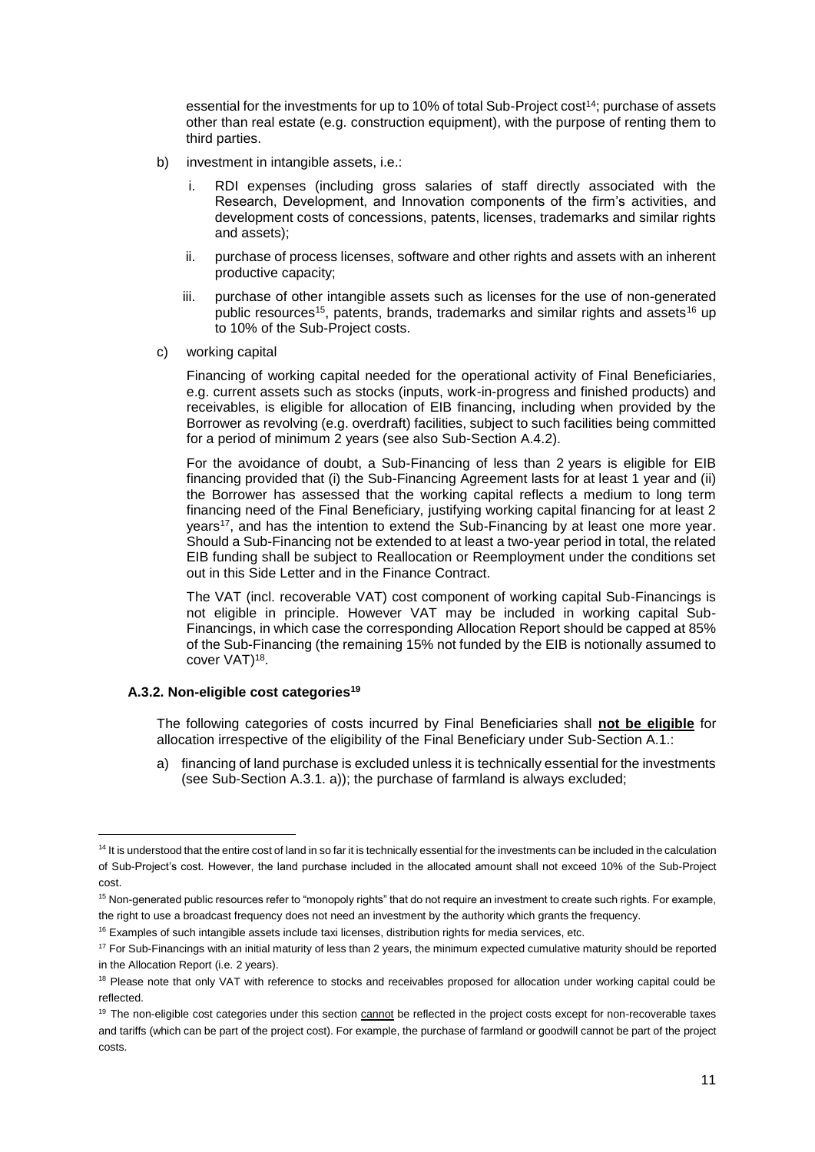essential for the investments for up to 10% of total Sub-Project cost<sup>14</sup>; purchase of assets other than real estate (e.g. construction equipment), with the purpose of renting them to third parties.

- b) investment in intangible assets, i.e.:
	- i. RDI expenses (including gross salaries of staff directly associated with the Research, Development, and Innovation components of the firm's activities, and development costs of concessions, patents, licenses, trademarks and similar rights and assets);
	- ii. purchase of process licenses, software and other rights and assets with an inherent productive capacity;
	- iii. purchase of other intangible assets such as licenses for the use of non-generated public resources<sup>15</sup>, patents, brands, trademarks and similar rights and assets<sup>16</sup> up to 10% of the Sub-Project costs.
- c) working capital

Financing of working capital needed for the operational activity of Final Beneficiaries, e.g. current assets such as stocks (inputs, work-in-progress and finished products) and receivables, is eligible for allocation of EIB financing, including when provided by the Borrower as revolving (e.g. overdraft) facilities, subject to such facilities being committed for a period of minimum 2 years (see also Sub-Section A.4.2).

For the avoidance of doubt, a Sub-Financing of less than 2 years is eligible for EIB financing provided that (i) the Sub-Financing Agreement lasts for at least 1 year and (ii) the Borrower has assessed that the working capital reflects a medium to long term financing need of the Final Beneficiary, justifying working capital financing for at least 2 years<sup>17</sup>, and has the intention to extend the Sub-Financing by at least one more year. Should a Sub-Financing not be extended to at least a two-year period in total, the related EIB funding shall be subject to Reallocation or Reemployment under the conditions set out in this Side Letter and in the Finance Contract.

The VAT (incl. recoverable VAT) cost component of working capital Sub-Financings is not eligible in principle. However VAT may be included in working capital Sub-Financings, in which case the corresponding Allocation Report should be capped at 85% of the Sub-Financing (the remaining 15% not funded by the EIB is notionally assumed to cover VAT)<sup>18</sup>.

## **A.3.2. Non-eligible cost categories<sup>19</sup>**

1

The following categories of costs incurred by Final Beneficiaries shall **not be eligible** for allocation irrespective of the eligibility of the Final Beneficiary under Sub-Section A.1.:

a) financing of land purchase is excluded unless it is technically essential for the investments (see Sub-Section A.3.1. a)); the purchase of farmland is always excluded;

<sup>&</sup>lt;sup>14</sup> It is understood that the entire cost of land in so far it is technically essential for the investments can be included in the calculation of Sub-Project's cost. However, the land purchase included in the allocated amount shall not exceed 10% of the Sub-Project cost.

<sup>&</sup>lt;sup>15</sup> Non-generated public resources refer to "monopoly rights" that do not require an investment to create such rights. For example, the right to use a broadcast frequency does not need an investment by the authority which grants the frequency.

<sup>&</sup>lt;sup>16</sup> Examples of such intangible assets include taxi licenses, distribution rights for media services, etc.

<sup>&</sup>lt;sup>17</sup> For Sub-Financings with an initial maturity of less than 2 years, the minimum expected cumulative maturity should be reported in the Allocation Report (i.e. 2 years).

<sup>&</sup>lt;sup>18</sup> Please note that only VAT with reference to stocks and receivables proposed for allocation under working capital could be reflected.

<sup>&</sup>lt;sup>19</sup> The non-eligible cost categories under this section cannot be reflected in the project costs except for non-recoverable taxes and tariffs (which can be part of the project cost). For example, the purchase of farmland or goodwill cannot be part of the project costs.